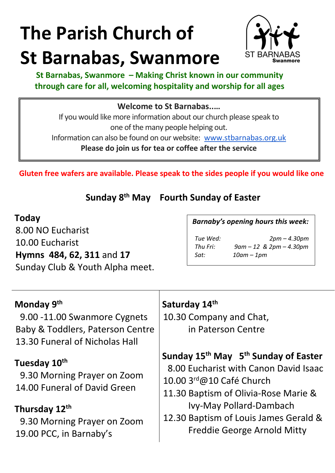# **The Parish Church of St Barnabas, Swanmore**



**St Barnabas, Swanmore – Making Christ known in our community through care for all, welcoming hospitality and worship for all ages**

#### **Welcome to St Barnabas..…**

If you would like more information about our church please speak to one of the many people helping out. Information can also be found on our website: www.stbarnabas.org.uk

**Please do join us for tea or coffee after the service**

**Gluten free wafers are available. Please speak to the sides people if you would like one**

**Sunday 8th May Fourth Sunday of Easter**

8.00 NO Eucharist 10.00 Eucharist **Hymns 484, 62, 311** and **17** Sunday Club & Youth Alpha meet.

| Today | <b>Barnaby's opening hours this week:</b> |  |
|-------|-------------------------------------------|--|
|       |                                           |  |

*Sat: 10am – 1pm*

*Tue Wed: 2pm – 4.30pm Thu Fri: 9am – 12 & 2pm – 4.30pm*

#### **Monday 9th**

 9.00 -11.00 Swanmore Cygnets Baby & Toddlers, Paterson Centre 13.30 Funeral of Nicholas Hall

#### **Tuesday 10th**

 9.30 Morning Prayer on Zoom 14.00 Funeral of David Green

### **Thursday 12th**

 9.30 Morning Prayer on Zoom 19.00 PCC, in Barnaby's

#### **Saturday 14th**

10.30 Company and Chat, in Paterson Centre

# **Sunday 15th May 5th Sunday of Easter**

8.00 Eucharist with Canon David Isaac

- 10.00 3rd@10 Café Church
- 11.30 Baptism of Olivia-Rose Marie & Ivy-May Pollard-Dambach
- 12.30 Baptism of Louis James Gerald & Freddie George Arnold Mitty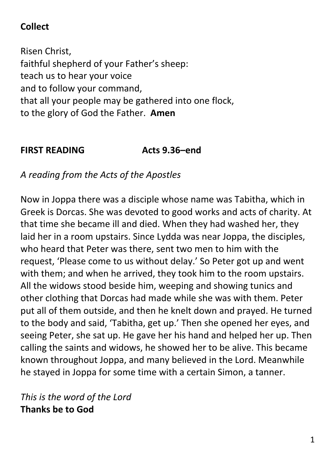## **Collect**

Risen Christ, faithful shepherd of your Father's sheep: teach us to hear your voice and to follow your command, that all your people may be gathered into one flock, to the glory of God the Father. **Amen**

#### **FIRST READING Acts 9.36–end**

*A reading from the Acts of the Apostles*

Now in Joppa there was a disciple whose name was Tabitha, which in Greek is Dorcas. She was devoted to good works and acts of charity. At that time she became ill and died. When they had washed her, they laid her in a room upstairs. Since Lydda was near Joppa, the disciples, who heard that Peter was there, sent two men to him with the request, 'Please come to us without delay.' So Peter got up and went with them; and when he arrived, they took him to the room upstairs. All the widows stood beside him, weeping and showing tunics and other clothing that Dorcas had made while she was with them. Peter put all of them outside, and then he knelt down and prayed. He turned to the body and said, 'Tabitha, get up.' Then she opened her eyes, and seeing Peter, she sat up. He gave her his hand and helped her up. Then calling the saints and widows, he showed her to be alive. This became known throughout Joppa, and many believed in the Lord. Meanwhile he stayed in Joppa for some time with a certain Simon, a tanner.

*This is the word of the Lord* **Thanks be to God**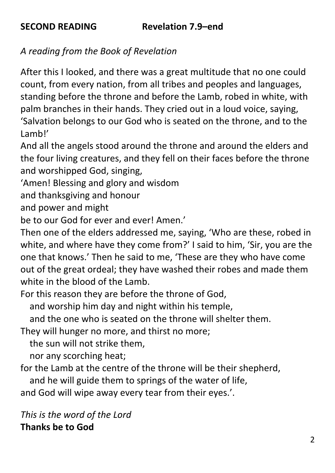*A reading from the Book of Revelation*

After this I looked, and there was a great multitude that no one could count, from every nation, from all tribes and peoples and languages, standing before the throne and before the Lamb, robed in white, with palm branches in their hands. They cried out in a loud voice, saying, 'Salvation belongs to our God who is seated on the throne, and to the Lamb!'

And all the angels stood around the throne and around the elders and the four living creatures, and they fell on their faces before the throne and worshipped God, singing,

'Amen! Blessing and glory and wisdom

and thanksgiving and honour

and power and might

be to our God for ever and ever! Amen.'

Then one of the elders addressed me, saying, 'Who are these, robed in white, and where have they come from?' I said to him, 'Sir, you are the one that knows.' Then he said to me, 'These are they who have come out of the great ordeal; they have washed their robes and made them white in the blood of the Lamb.

For this reason they are before the throne of God,

and worship him day and night within his temple,

and the one who is seated on the throne will shelter them.

They will hunger no more, and thirst no more;

the sun will not strike them,

nor any scorching heat;

for the Lamb at the centre of the throne will be their shepherd,

and he will guide them to springs of the water of life,

and God will wipe away every tear from their eyes.'.

*This is the word of the Lord* **Thanks be to God**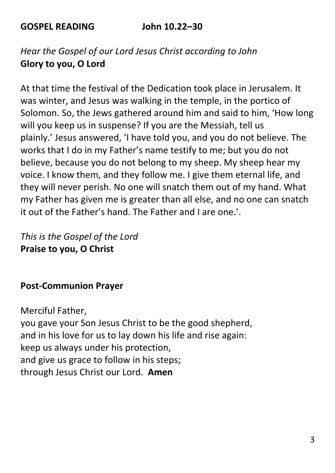**GOSPEL READING John 10.22–30**

*Hear the Gospel of our Lord Jesus Christ according to John* **Glory to you, O Lord**

At that time the festival of the Dedication took place in Jerusalem. It was winter, and Jesus was walking in the temple, in the portico of Solomon. So, the Jews gathered around him and said to him, 'How long will you keep us in suspense? If you are the Messiah, tell us plainly.' Jesus answered, 'I have told you, and you do not believe. The works that I do in my Father's name testify to me; but you do not believe, because you do not belong to my sheep. My sheep hear my voice. I know them, and they follow me. I give them eternal life, and they will never perish. No one will snatch them out of my hand. What my Father has given me is greater than all else, and no one can snatch it out of the Father's hand. The Father and I are one.'.

*This is the Gospel of the Lord* **Praise to you, O Christ**

#### **Post-Communion Prayer**

Merciful Father, you gave your Son Jesus Christ to be the good shepherd, and in his love for us to lay down his life and rise again: keep us always under his protection, and give us grace to follow in his steps; through Jesus Christ our Lord. **Amen**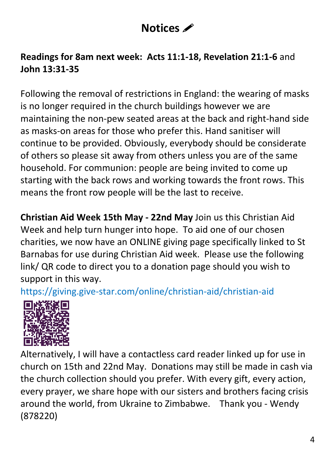# **Notices** *<i>i*

### **Readings for 8am next week: Acts 11:1-18, Revelation 21:1-6** and **John 13:31-35**

Following the removal of restrictions in England: the wearing of masks is no longer required in the church buildings however we are maintaining the non-pew seated areas at the back and right-hand side as masks-on areas for those who prefer this. Hand sanitiser will continue to be provided. Obviously, everybody should be considerate of others so please sit away from others unless you are of the same household. For communion: people are being invited to come up starting with the back rows and working towards the front rows. This means the front row people will be the last to receive.

**Christian Aid Week 15th May - 22nd May** Join us this Christian Aid Week and help turn hunger into hope. To aid one of our chosen charities, we now have an ONLINE giving page specifically linked to St Barnabas for use during Christian Aid week. Please use the following link/ QR code to direct you to a donation page should you wish to support in this way.

https://giving.give-star.com/online/christian-aid/christian-aid



Alternatively, I will have a contactless card reader linked up for use in church on 15th and 22nd May. Donations may still be made in cash via the church collection should you prefer. With every gift, every action, every prayer, we share hope with our sisters and brothers facing crisis around the world, from Ukraine to Zimbabwe. Thank you - Wendy (878220)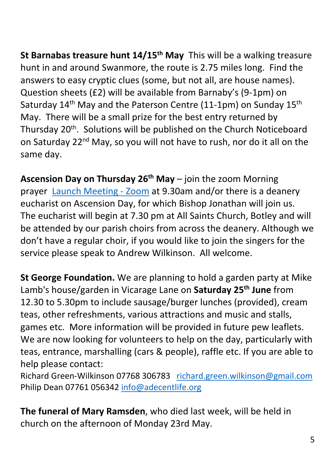**St Barnabas treasure hunt 14/15th May** This will be a walking treasure hunt in and around Swanmore, the route is 2.75 miles long. Find the answers to easy cryptic clues (some, but not all, are house names). Question sheets (£2) will be available from Barnaby's (9-1pm) on Saturday 14<sup>th</sup> May and the Paterson Centre (11-1pm) on Sunday 15<sup>th</sup> May. There will be a small prize for the best entry returned by Thursday 20<sup>th</sup>. Solutions will be published on the Church Noticeboard on Saturday 22<sup>nd</sup> May, so you will not have to rush, nor do it all on the same day.

**Ascension Day on Thursday 26th May** – join the zoom Morning prayer **Launch Meeting - Zoom** at 9.30am and/or there is a deanery eucharist on Ascension Day, for which Bishop Jonathan will join us. The eucharist will begin at 7.30 pm at All Saints Church, Botley and will be attended by our parish choirs from across the deanery. Although we don't have a regular choir, if you would like to join the singers for the service please speak to Andrew Wilkinson. All welcome.

**St George Foundation.** We are planning to hold a garden party at Mike Lamb's house/garden in Vicarage Lane on **Saturday 25th June** from 12.30 to 5.30pm to include sausage/burger lunches (provided), cream teas, other refreshments, various attractions and music and stalls, games etc. More information will be provided in future pew leaflets. We are now looking for volunteers to help on the day, particularly with teas, entrance, marshalling (cars & people), raffle etc. If you are able to help please contact:

Richard Green-Wilkinson 07768 306783 richard.green.wilkinson@gmail.com Philip Dean 07761 056342 info@adecentlife.org

**The funeral of Mary Ramsden**, who died last week, will be held in church on the afternoon of Monday 23rd May.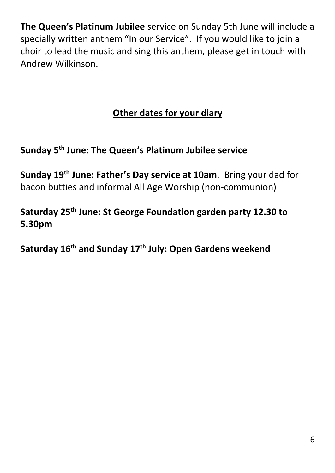**The Queen's Platinum Jubilee** service on Sunday 5th June will include a specially written anthem "In our Service". If you would like to join a choir to lead the music and sing this anthem, please get in touch with Andrew Wilkinson.

# **Other dates for your diary**

# **Sunday 5th June: The Queen's Platinum Jubilee service**

**Sunday 19th June: Father's Day service at 10am**. Bring your dad for bacon butties and informal All Age Worship (non-communion)

**Saturday 25th June: St George Foundation garden party 12.30 to 5.30pm**

**Saturday 16th and Sunday 17th July: Open Gardens weekend**